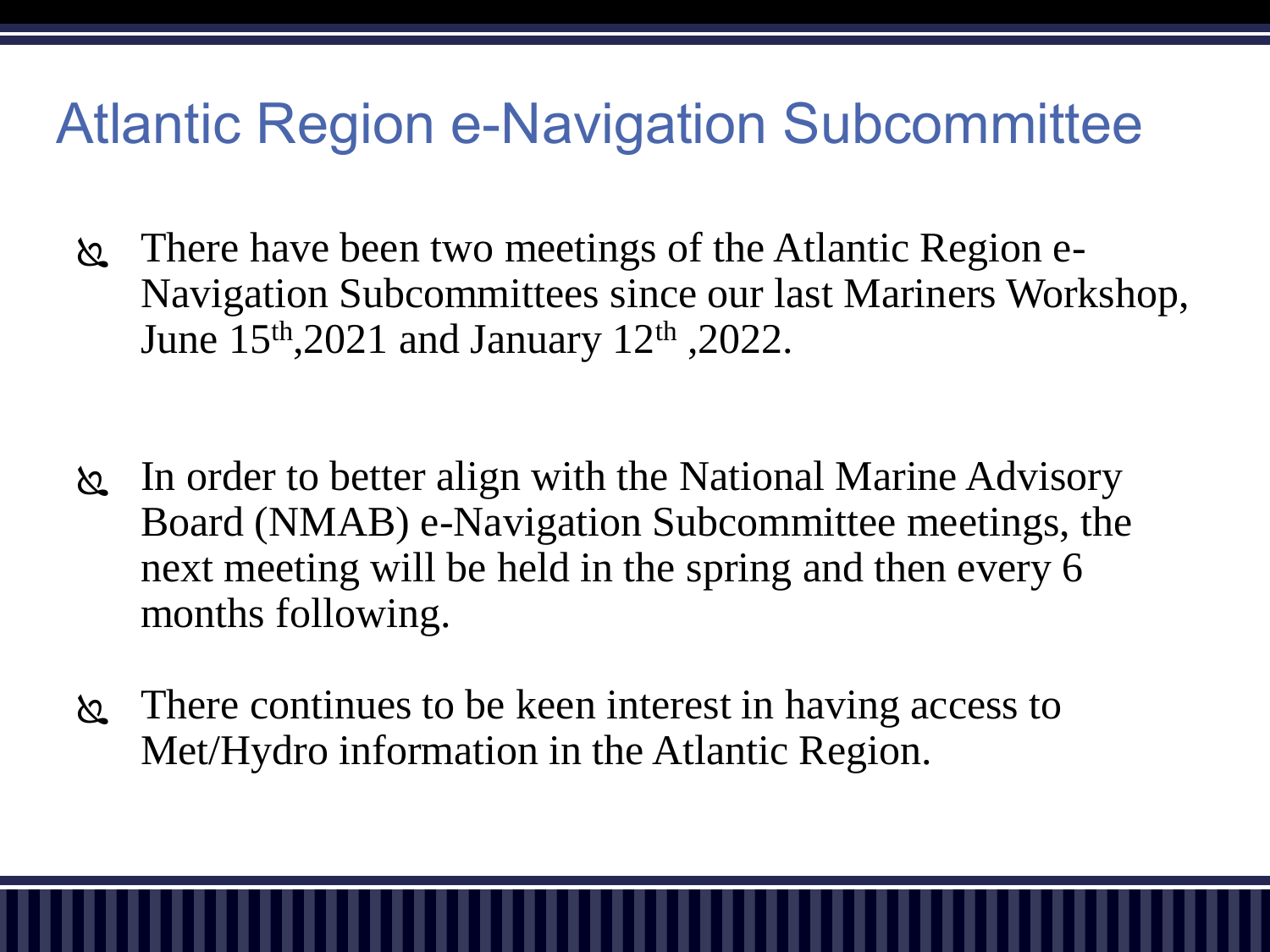## Atlantic Region e-Navigation Subcommittee

- There have been two meetings of the Atlantic Region e-Navigation Subcommittees since our last Mariners Workshop, June 15th,2021 and January 12th ,2022.
- In order to better align with the National Marine Advisory Board (NMAB) e-Navigation Subcommittee meetings, the next meeting will be held in the spring and then every 6 months following.
- There continues to be keen interest in having access to Met/Hydro information in the Atlantic Region.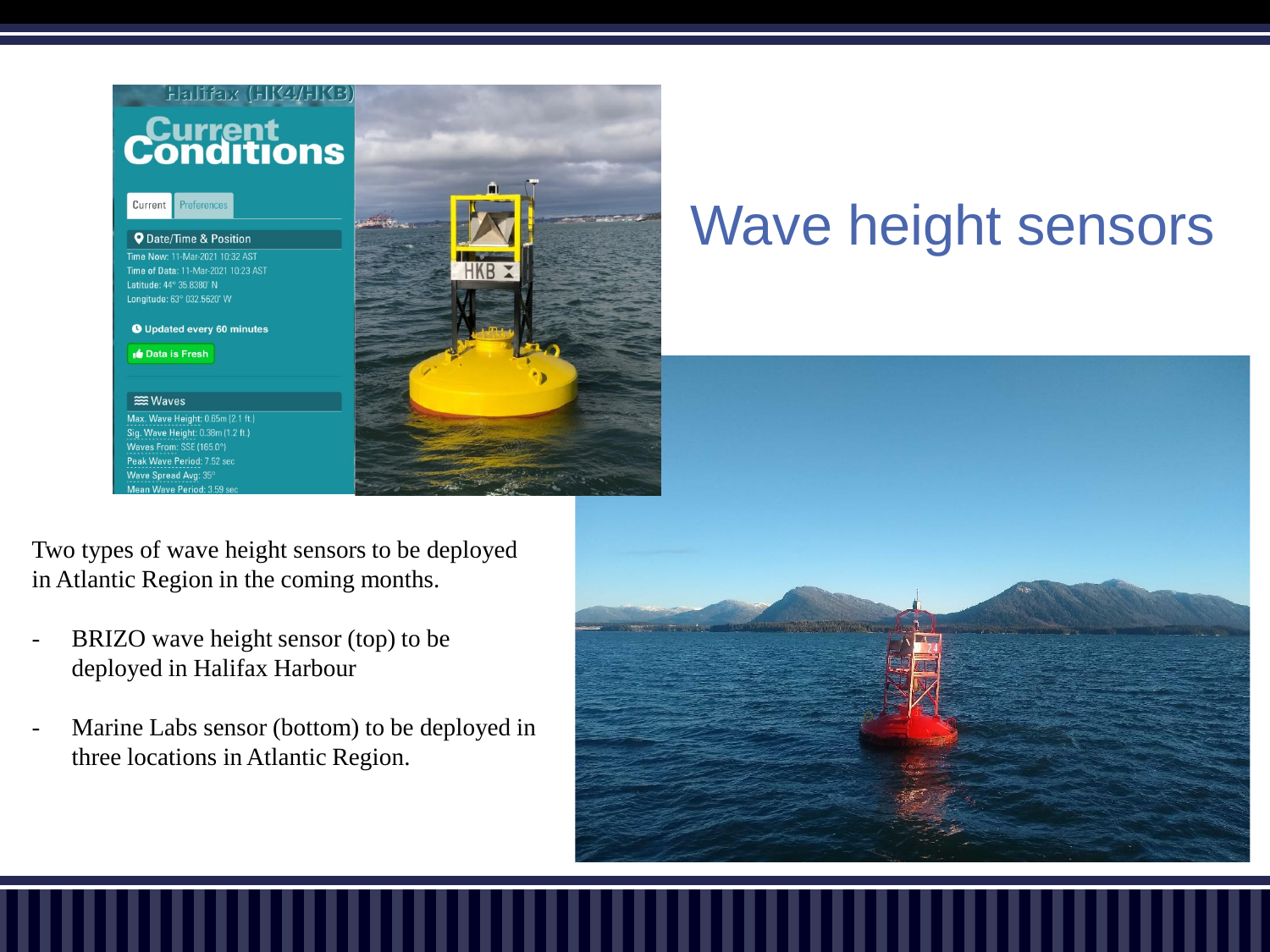



# Wave height sensors

Two types of wave height sensors to be deployed in Atlantic Region in the coming months.

- BRIZO wave height sensor (top) to be deployed in Halifax Harbour
- Marine Labs sensor (bottom) to be deployed in three locations in Atlantic Region.

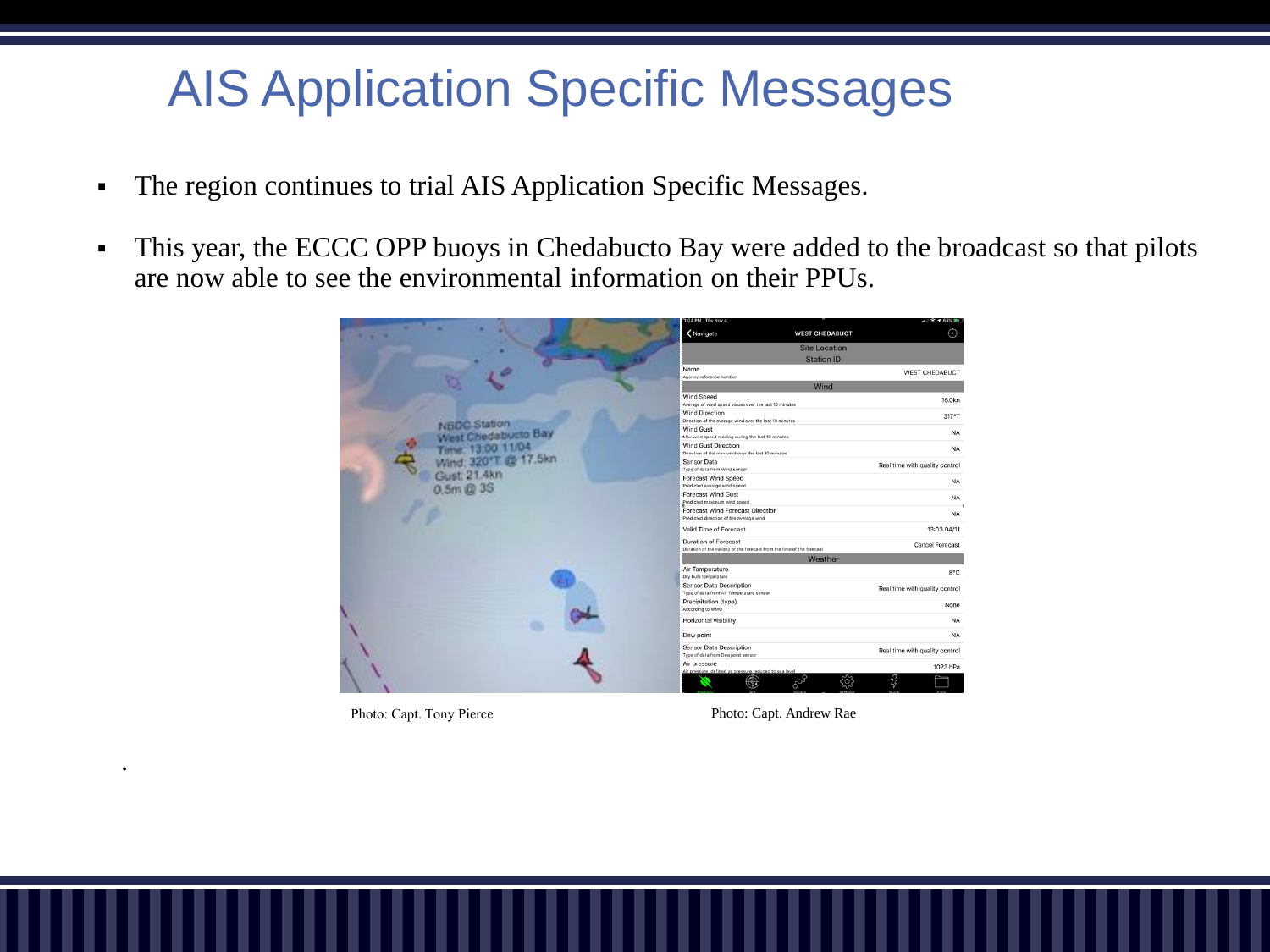### AIS Application Specific Messages

- The region continues to trial AIS Application Specific Messages.
- **•** This year, the ECCC OPP buoys in Chedabucto Bay were added to the broadcast so that pilots are now able to see the environmental information on their PPUs.

|                                                                                                  | 1:04 PM Thu Nov 4                                                       | $-11$ $+ 65\%$ EX                         |  |
|--------------------------------------------------------------------------------------------------|-------------------------------------------------------------------------|-------------------------------------------|--|
|                                                                                                  | <navigate<br><b>WEST CHEDABUCT</b></navigate<br>                        | ⊙                                         |  |
|                                                                                                  |                                                                         | <b>Site Location</b><br><b>Station ID</b> |  |
|                                                                                                  |                                                                         |                                           |  |
|                                                                                                  | Name                                                                    |                                           |  |
|                                                                                                  | Agency reference number                                                 | <b>WEST CHEDABUCT</b>                     |  |
|                                                                                                  | Wind                                                                    |                                           |  |
|                                                                                                  | Wind Speed                                                              | 16.0kn                                    |  |
|                                                                                                  | Average of wind speed values over the last 10 minutes                   |                                           |  |
|                                                                                                  | Wind Direction                                                          | 317°T                                     |  |
|                                                                                                  | Direction of the average wind over the last 10 minutes                  |                                           |  |
|                                                                                                  | Wind Gust<br>Max wind speed reading during the last 10 minutes          | <b>NA</b>                                 |  |
|                                                                                                  | Wind Gust Direction                                                     |                                           |  |
|                                                                                                  | Direction of the max wind over the last 10 minutes                      | <b>NA</b>                                 |  |
|                                                                                                  | Sensor Data                                                             |                                           |  |
|                                                                                                  | Type of data from Wind sensor                                           | Real time with quality control            |  |
| NBDC Station<br>West Chedabusto Bay<br>Time: 13.00 11.04<br>Wind: 320°T @ 17.5km<br>Gust: 21.4km | Forecast Wind Speed                                                     | <b>NA</b>                                 |  |
| $0.5m$ @ $3S$                                                                                    | :Predicted average wind speed                                           |                                           |  |
|                                                                                                  | Forecast Wind Gust                                                      | <b>NA</b>                                 |  |
|                                                                                                  | Predicted maximum wind speed                                            |                                           |  |
|                                                                                                  | Forecast Wind Forecast Direction                                        | <b>NA</b>                                 |  |
|                                                                                                  | Predicted direction of the average wind                                 |                                           |  |
|                                                                                                  | Valid Time of Forecast                                                  | 13:03 04/11                               |  |
|                                                                                                  | Duration of Forecast                                                    | Cancel Forecast                           |  |
|                                                                                                  | :Duration of the validity of the forecast from the time of the forecast |                                           |  |
|                                                                                                  | Weather                                                                 |                                           |  |
|                                                                                                  | :Air Temperature                                                        | 8°C                                       |  |
|                                                                                                  | :Dry bulb temperature                                                   |                                           |  |
|                                                                                                  | Sensor Data Description<br>Type of data from Air Temperature sensor     | Real time with quality control            |  |
|                                                                                                  | Precipitation (type)                                                    |                                           |  |
|                                                                                                  | According to WMO                                                        | None                                      |  |
|                                                                                                  | :Horizontal visibility                                                  | <b>NA</b>                                 |  |
|                                                                                                  | Dew point                                                               | <b>NA</b>                                 |  |
|                                                                                                  | Sensor Data Description<br>Type of data from Dewpoint sensor            | Real time with quality control            |  |
|                                                                                                  | Air pressure                                                            | 1023 hPa                                  |  |
|                                                                                                  | .<br>Air pressure, defined as pressure reduced to sea level             |                                           |  |
|                                                                                                  | 609<br>❀                                                                | छु                                        |  |
|                                                                                                  |                                                                         |                                           |  |

Photo: Capt. Tony Pierce Photo: Capt. Andrew Rae

.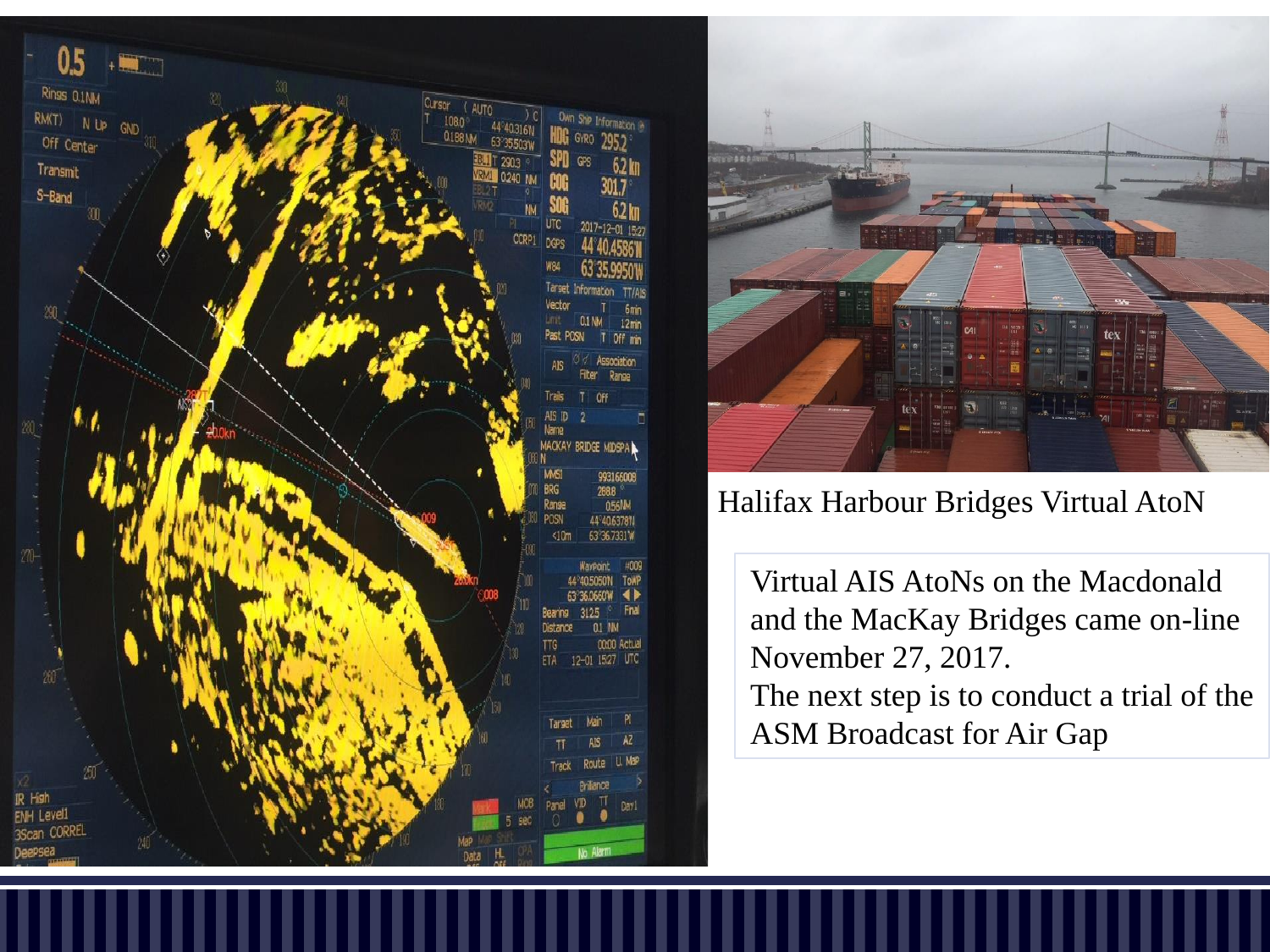



#### Halifax Harbour Bridges Virtual AtoN

Virtual AIS AtoNs on the Macdonald and the MacKay Bridges came on-line November 27, 2017. The next step is to conduct a trial of the ASM Broadcast for Air Gap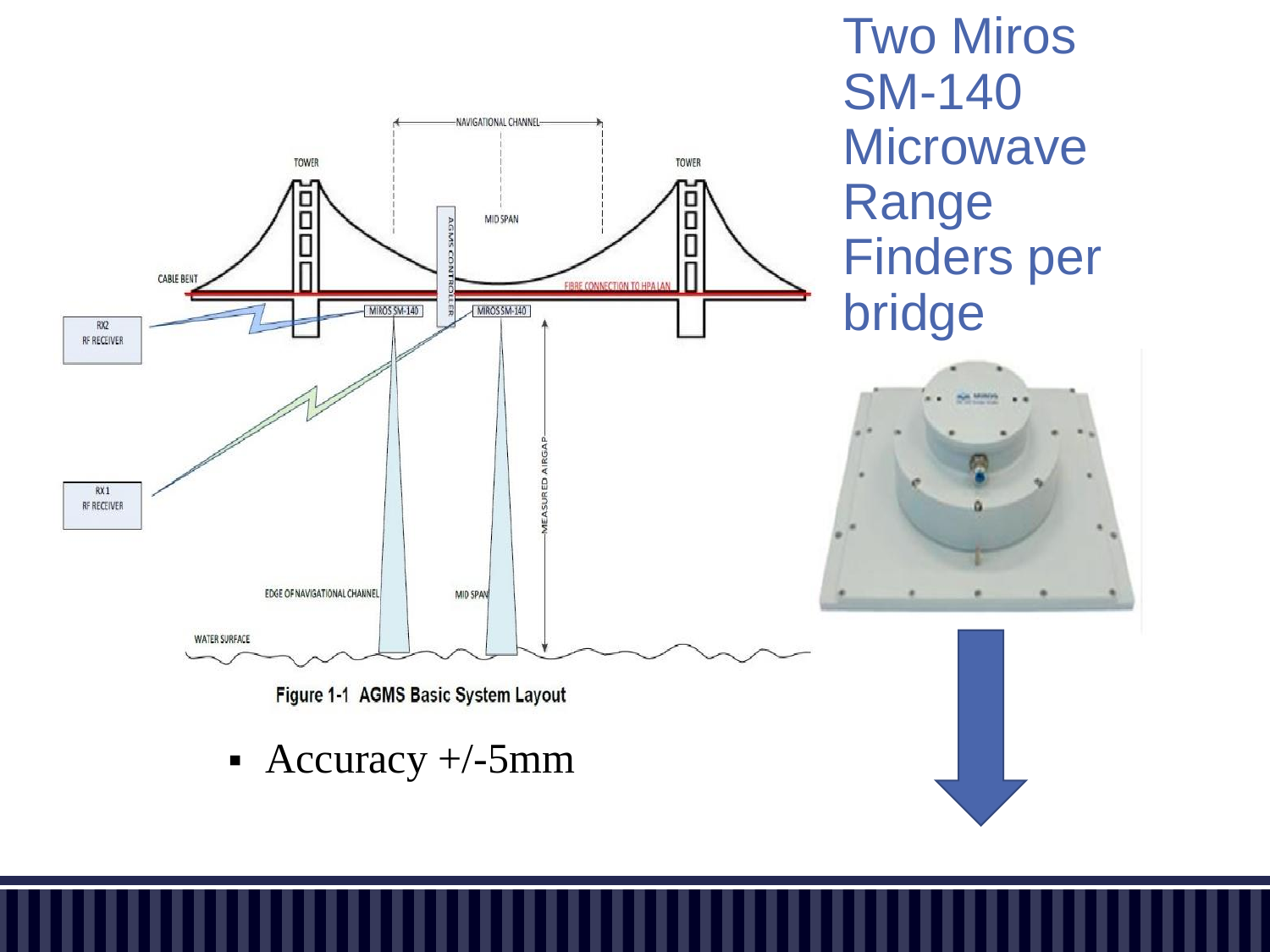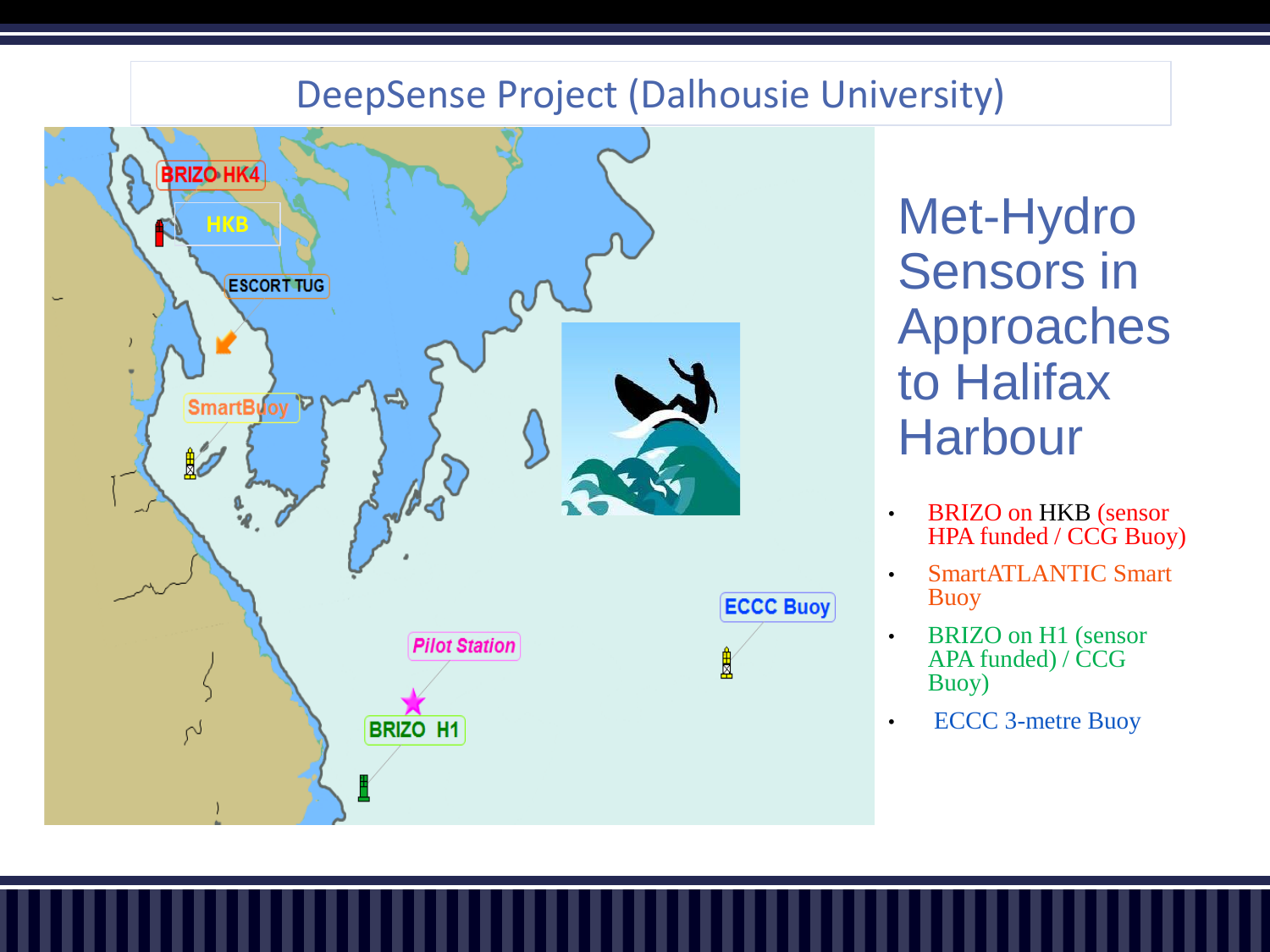#### DeepSense Project (Dalhousie University)



Met-Hydro Sensors in Approaches to Halifax **Harbour** 

- BRIZO on HKB (sensor HPA funded / CCG Buoy)
- SmartATLANTIC Smart Buoy
- BRIZO on H1 (sensor APA funded) / CCG Buoy)
- ECCC 3-metre Buoy